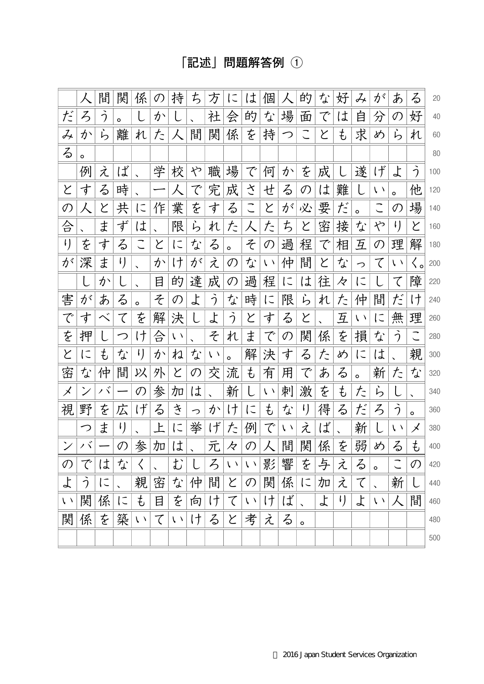## [記述] 問題解答例 ①

|            | 人       | 間  | 関              | 係             | の | 持           | ち | 方             | に             | は           | 個             |   | 的                    | な | 好       | $\cancel{\mathcal{J}}_\star$ | が          | あ              | る       | 20  |
|------------|---------|----|----------------|---------------|---|-------------|---|---------------|---------------|-------------|---------------|---|----------------------|---|---------|------------------------------|------------|----------------|---------|-----|
| だ          | ろ       | う  | o              |               | か |             |   | 社             | 会             | 的           | な             | 場 | 面                    | で | Ιt      | 自                            | 分          | の              | 好       | 40  |
| み          | か       | ら  | 離              | れ             | た | 人           | 間 | 関             | 係             | を           | 持             | つ |                      | と | ŧ       | 求                            | め          | ら              | れ       | 60  |
| る          | $\circ$ |    |                |               |   |             |   |               |               |             |               |   |                      |   |         |                              |            |                |         | 80  |
|            | 例       | え  | ば              |               | 学 | 校           | や | 職             | 場             | で           | 何             | か | を                    | 成 |         | 遂                            | げ          | よ              | う       | 100 |
| と          | 寸       | る  | 時              |               |   | 人           | で | 完             | 成             | さ           | せ             | る | $\mathcal{O}$        | は | 難       |                              | $\sqrt{ }$ | $\circ$        | 他       | 120 |
| の          | 人       | と  | 共              | に             | 作 | 業           | を | す             | る             | こ           | と             | が | 必                    | 要 | だ       | $\circ$                      |            | $\mathcal{O}$  | 場       | 140 |
| 승          |         | ま  | ず              | は             |   | 限           | ら | れ             | た             | 人           | た             | ち | と                    | 密 | 接       | な                            | や          | $\mathfrak{l}$ | と       | 160 |
| $\iota$    | を       | す  | る              |               | と | に           | な | る             | $\circ$       | そ           | $\mathcal{O}$ | 過 | 程                    | で | 相       | 互                            | の          | 理              | 解       | 180 |
| が          | 深       | ま  | $\mathfrak{t}$ |               | か | け           | が | え             | $\mathcal{O}$ | な           | $\chi$ $\chi$ | 仲 | 間                    | と | な       | っ                            | て          | $\chi$ $\chi$  | く。      | 200 |
|            |         | か  |                |               | 目 | 的           | 達 | 成             | の             | 過           | 程             | に | は                    | 往 | 々       | に                            |            | て              | 障       | 220 |
| 害          | が       | あ  | る              | $\circ$       | そ | の           | よ | う             | な             | 時           | $\subset$     | 限 | ら                    | れ | た       | 仲                            | 間          | だ              | け       | 240 |
| で          | す       |    | て              | を             | 解 | 決           |   | よ             | う             | と           | す             | る | と                    |   | 互       | $\sqrt{2}$                   | に          | 無              | 理       | 260 |
| を          | 押       |    | つ              | け             | 合 | $\chi/\chi$ |   | そ             | れ             | ま           | で             | の | 関                    | 係 | を       | 損                            | な          | う              |         | 280 |
| と          | に       | ŧ, | な              | I)            | か | ね           | な | $\chi$ $\chi$ | $\circ$       | 解           | 決             | す | る                    | た | め       | に                            | は          |                | 親       | 300 |
| 密          | な       | 仲  | 間              | 以             | 外 | と           | の | 交             | 流             | ŧ           | 有             | 用 | で                    | あ | る       | $\circ$                      | 新          | た              | な       | 320 |
| メ          | ン       | ノド |                | $\mathcal{O}$ | 参 | 加           | は |               | 新             |             | $\chi$ $\chi$ | 刺 | 激                    | を | ŧ       | た                            | ら          |                |         | 340 |
| 視          | 野       | を  | 広              | げ             | る | き           | っ | か             | け             | に           | ŧ             | な | ŀ)                   | 得 | る       | だ                            | ろ          | う              | $\circ$ | 360 |
|            | つ       | ま  | $\iota$        |               | 上 | に           | 挙 | げ             | た             | 例           | で             | い | え                    | ば |         | 新                            | L          | $\sqrt{ }$     | メ       | 380 |
|            | ノド      |    | $\mathcal{O}$  | 参             | 加 | は           |   | 元             | 々             | の           |               | 間 | 関                    | 係 | を       | 弱                            | め          | る              | ŧ       | 400 |
| の          | で       | は  | な              | く             |   | む           |   | ろ             | $\chi$ $\chi$ | $\sqrt{2}$  | 影             | 響 | を                    | 与 | え       | る                            | $\circ$    | こ              | の       | 420 |
| よ          | っ       | に  |                | 親             | 密 | な           | 仲 | 間             | と             | の           | 関             | 係 | に                    | 加 | え       | て                            |            | 新              | L       | 440 |
| $\sqrt{2}$ | 関       | 係  | に              | $\ddot{t}$    | 目 | を           | 向 | け             | て             | $\bar{V}$ ) | け             | ば | $\ddot{\phantom{0}}$ | よ | $\iota$ | よ                            | $\sqrt{2}$ | $\lambda$      | 間       | 460 |
| 関          | 係       | を  | 築              | い             | て | $\sqrt{2}$  | け | る             | と             | 考           | え             | る | $\mathsf{o}$         |   |         |                              |            |                |         | 480 |
|            |         |    |                |               |   |             |   |               |               |             |               |   |                      |   |         |                              |            |                |         | 500 |